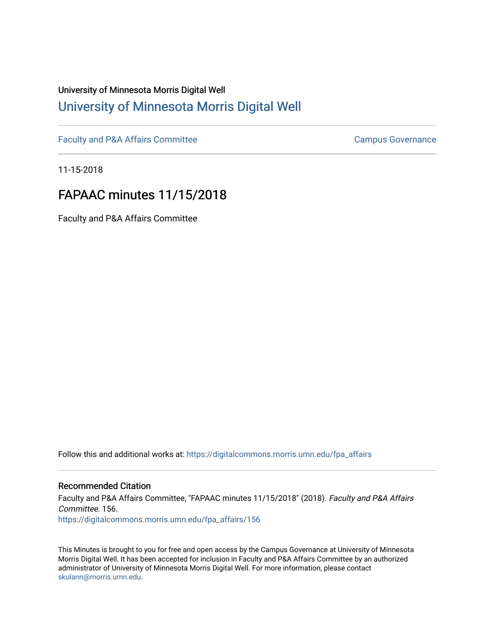# University of Minnesota Morris Digital Well [University of Minnesota Morris Digital Well](https://digitalcommons.morris.umn.edu/)

[Faculty and P&A Affairs Committee](https://digitalcommons.morris.umn.edu/fpa_affairs) [Campus Governance](https://digitalcommons.morris.umn.edu/campgov) Campus Governance

11-15-2018

# FAPAAC minutes 11/15/2018

Faculty and P&A Affairs Committee

Follow this and additional works at: [https://digitalcommons.morris.umn.edu/fpa\\_affairs](https://digitalcommons.morris.umn.edu/fpa_affairs?utm_source=digitalcommons.morris.umn.edu%2Ffpa_affairs%2F156&utm_medium=PDF&utm_campaign=PDFCoverPages)

## Recommended Citation

Faculty and P&A Affairs Committee, "FAPAAC minutes 11/15/2018" (2018). Faculty and P&A Affairs Committee. 156. [https://digitalcommons.morris.umn.edu/fpa\\_affairs/156](https://digitalcommons.morris.umn.edu/fpa_affairs/156?utm_source=digitalcommons.morris.umn.edu%2Ffpa_affairs%2F156&utm_medium=PDF&utm_campaign=PDFCoverPages)

This Minutes is brought to you for free and open access by the Campus Governance at University of Minnesota Morris Digital Well. It has been accepted for inclusion in Faculty and P&A Affairs Committee by an authorized administrator of University of Minnesota Morris Digital Well. For more information, please contact [skulann@morris.umn.edu.](mailto:skulann@morris.umn.edu)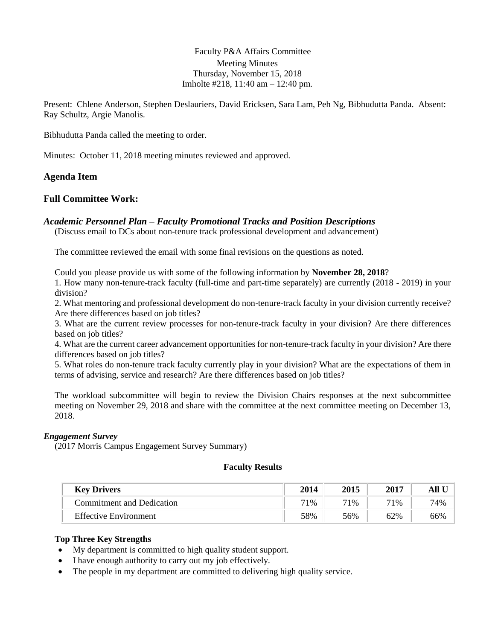Faculty P&A Affairs Committee Meeting Minutes Thursday, November 15, 2018 Imholte #218, 11:40 am – 12:40 pm.

Present: Chlene Anderson, Stephen Deslauriers, David Ericksen, Sara Lam, Peh Ng, Bibhudutta Panda. Absent: Ray Schultz, Argie Manolis.

Bibhudutta Panda called the meeting to order.

Minutes: October 11, 2018 meeting minutes reviewed and approved.

#### **Agenda Item**

## **Full Committee Work:**

#### *Academic Personnel Plan – Faculty Promotional Tracks and Position Descriptions*

(Discuss email to DCs about non-tenure track professional development and advancement)

The committee reviewed the email with some final revisions on the questions as noted.

Could you please provide us with some of the following information by **November 28, 2018**?

1. How many non-tenure-track faculty (full-time and part-time separately) are currently (2018 - 2019) in your division?

2. What mentoring and professional development do non-tenure-track faculty in your division currently receive? Are there differences based on job titles?

3. What are the current review processes for non-tenure-track faculty in your division? Are there differences based on job titles?

4. What are the current career advancement opportunities for non-tenure-track faculty in your division? Are there differences based on job titles?

5. What roles do non-tenure track faculty currently play in your division? What are the expectations of them in terms of advising, service and research? Are there differences based on job titles?

The workload subcommittee will begin to review the Division Chairs responses at the next subcommittee meeting on November 29, 2018 and share with the committee at the next committee meeting on December 13, 2018.

#### *Engagement Survey*

(2017 Morris Campus Engagement Survey Summary)

#### **Faculty Results**

| <b>Key Drivers</b>           | 2014 | 2015 | 2017 |     |
|------------------------------|------|------|------|-----|
| Commitment and Dedication    | 71%  | 71%  | 71%  | 74% |
| <b>Effective Environment</b> | 58%  | 56%  | 62%  | 66% |

#### **Top Three Key Strengths**

- My department is committed to high quality student support.
- I have enough authority to carry out my job effectively.
- The people in my department are committed to delivering high quality service.